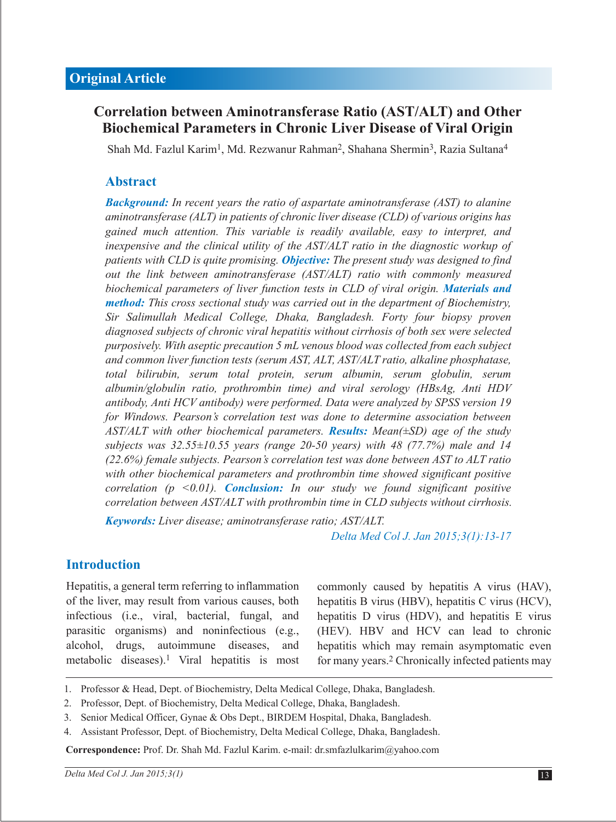# **Correlation between Aminotransferase Ratio (AST/ALT) and Other Biochemical Parameters in Chronic Liver Disease of Viral Origin**

Shah Md. Fazlul Karim<sup>1</sup>, Md. Rezwanur Rahman<sup>2</sup>, Shahana Shermin<sup>3</sup>, Razia Sultana<sup>4</sup>

### **Abstract**

*Background: In recent years the ratio of aspartate aminotransferase (AST) to alanine aminotransferase (ALT) in patients of chronic liver disease (CLD) of various origins has gained much attention. This variable is readily available, easy to interpret, and inexpensive and the clinical utility of the AST/ALT ratio in the diagnostic workup of patients with CLD is quite promising. Objective: The present study was designed to find out the link between aminotransferase (AST/ALT) ratio with commonly measured biochemical parameters of liver function tests in CLD of viral origin. Materials and method: This cross sectional study was carried out in the department of Biochemistry, Sir Salimullah Medical College, Dhaka, Bangladesh. Forty four biopsy proven diagnosed subjects of chronic viral hepatitis without cirrhosis of both sex were selected purposively. With aseptic precaution 5 mL venous blood was collected from each subject and common liver function tests (serum AST, ALT, AST/ALT ratio, alkaline phosphatase, total bilirubin, serum total protein, serum albumin, serum globulin, serum albumin/globulin ratio, prothrombin time) and viral serology (HBsAg, Anti HDV antibody, Anti HCV antibody) were performed. Data were analyzed by SPSS version 19 for Windows. Pearson's correlation test was done to determine association between AST/ALT with other biochemical parameters. Results: Mean(±SD) age of the study subjects was 32.55±10.55 years (range 20-50 years) with 48 (77.7%) male and 14 (22.6%) female subjects. Pearson's correlation test was done between AST to ALT ratio with other biochemical parameters and prothrombin time showed significant positive correlation (p <0.01). Conclusion: In our study we found significant positive correlation between AST/ALT with prothrombin time in CLD subjects without cirrhosis.*

*Keywords: Liver disease; aminotransferase ratio; AST/ALT.*

*Delta Med Col J. Jan 2015;3(1):13-17* 

### **Introduction**

Hepatitis, a general term referring to inflammation of the liver, may result from various causes, both infectious (i.e., viral, bacterial, fungal, and parasitic organisms) and noninfectious (e.g., alcohol, drugs, autoimmune diseases, and metabolic diseases).<sup>1</sup> Viral hepatitis is most commonly caused by hepatitis A virus (HAV), hepatitis B virus (HBV), hepatitis C virus (HCV), hepatitis D virus (HDV), and hepatitis E virus (HEV). HBV and HCV can lead to chronic hepatitis which may remain asymptomatic even for many years.2 Chronically infected patients may

- 1. Professor & Head, Dept. of Biochemistry, Delta Medical College, Dhaka, Bangladesh.
- 2. Professor, Dept. of Biochemistry, Delta Medical College, Dhaka, Bangladesh.
- Senior Medical Officer, Gynae & Obs Dept., BIRDEM Hospital, Dhaka, Bangladesh. 3.
- Assistant Professor, Dept. of Biochemistry, Delta Medical College, Dhaka, Bangladesh. 4.

**Correspondence:** Prof. Dr. Shah Md. Fazlul Karim. e-mail: dr.smfazlulkarim@yahoo.com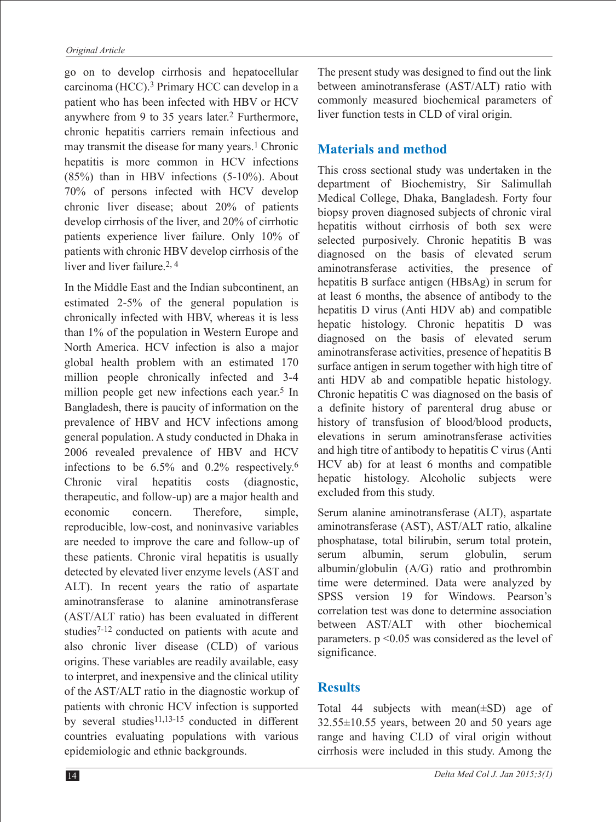go on to develop cirrhosis and hepatocellular carcinoma (HCC).3 Primary HCC can develop in a patient who has been infected with HBV or HCV anywhere from 9 to 35 years later.2 Furthermore, chronic hepatitis carriers remain infectious and may transmit the disease for many years.<sup>1</sup> Chronic hepatitis is more common in HCV infections  $(85%)$  than in HBV infections  $(5-10%)$ . About 70% of persons infected with HCV develop chronic liver disease; about 20% of patients develop cirrhosis of the liver, and 20% of cirrhotic patients experience liver failure. Only 10% of patients with chronic HBV develop cirrhosis of the liver and liver failure  $2, 4$ 

In the Middle East and the Indian subcontinent, an estimated 2-5% of the general population is chronically infected with HBV, whereas it is less than 1% of the population in Western Europe and North America. HCV infection is also a major global health problem with an estimated 170 million people chronically infected and 3-4 million people get new infections each year.5 In Bangladesh, there is paucity of information on the prevalence of HBV and HCV infections among general population. A study conducted in Dhaka in 2006 revealed prevalence of HBV and HCV infections to be 6.5% and 0.2% respectively.6 Chronic viral hepatitis costs (diagnostic, therapeutic, and follow-up) are a major health and economic concern. Therefore, simple, reproducible, low-cost, and noninvasive variables are needed to improve the care and follow-up of these patients. Chronic viral hepatitis is usually detected by elevated liver enzyme levels (AST and ALT). In recent years the ratio of aspartate aminotransferase to alanine aminotransferase (AST/ALT ratio) has been evaluated in different studies7-12 conducted on patients with acute and also chronic liver disease (CLD) of various origins. These variables are readily available, easy to interpret, and inexpensive and the clinical utility of the AST/ALT ratio in the diagnostic workup of patients with chronic HCV infection is supported by several studies $11,13-15$  conducted in different countries evaluating populations with various epidemiologic and ethnic backgrounds.

The present study was designed to find out the link between aminotransferase (AST/ALT) ratio with commonly measured biochemical parameters of liver function tests in CLD of viral origin.

## **Materials and method**

This cross sectional study was undertaken in the department of Biochemistry, Sir Salimullah Medical College, Dhaka, Bangladesh. Forty four biopsy proven diagnosed subjects of chronic viral hepatitis without cirrhosis of both sex were selected purposively. Chronic hepatitis B was diagnosed on the basis of elevated serum aminotransferase activities, the presence of hepatitis B surface antigen (HBsAg) in serum for at least 6 months, the absence of antibody to the hepatitis D virus (Anti HDV ab) and compatible hepatic histology. Chronic hepatitis D was diagnosed on the basis of elevated serum aminotransferase activities, presence of hepatitis B surface antigen in serum together with high titre of anti HDV ab and compatible hepatic histology. Chronic hepatitis C was diagnosed on the basis of a definite history of parenteral drug abuse or history of transfusion of blood/blood products, elevations in serum aminotransferase activities and high titre of antibody to hepatitis C virus (Anti HCV ab) for at least 6 months and compatible hepatic histology. Alcoholic subjects were excluded from this study.

Serum alanine aminotransferase (ALT), aspartate aminotransferase (AST), AST/ALT ratio, alkaline phosphatase, total bilirubin, serum total protein, serum albumin, serum globulin, serum albumin/globulin (A/G) ratio and prothrombin time were determined. Data were analyzed by SPSS version 19 for Windows. Pearson's correlation test was done to determine association between AST/ALT with other biochemical parameters. p <0.05 was considered as the level of significance.

## **Results**

Total 44 subjects with mean(±SD) age of 32.55±10.55 years, between 20 and 50 years age range and having CLD of viral origin without cirrhosis were included in this study. Among the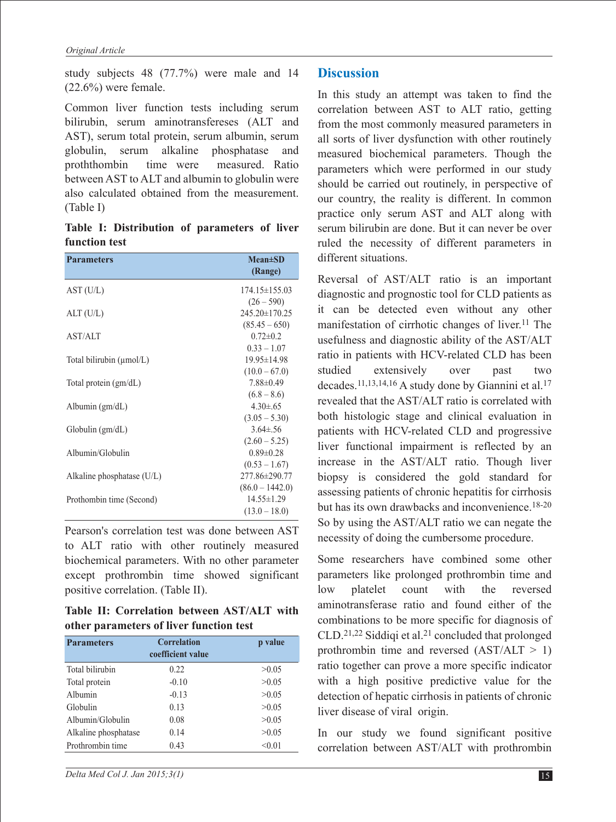study subjects 48 (77.7%) were male and 14  $(22.6\%)$  were female.

Common liver function tests including serum bilirubin, serum aminotransfereses (ALT and AST), serum total protein, serum albumin, serum globulin, serum alkaline phosphatase and proththombin time were measured. Ratio between AST to ALT and albumin to globulin were also calculated obtained from the measurement. (Table I)

**Table I: Distribution of parameters of liver function test**

| <b>Parameters</b>                    | $Mean \pm SD$<br>(Range)            |
|--------------------------------------|-------------------------------------|
| AST (U/L)                            | $174.15 \pm 155.03$<br>$(26 - 590)$ |
| ALT(U/L)                             | $245.20 \pm 170.25$                 |
| <b>AST/ALT</b>                       | $(85.45 - 650)$<br>$0.72 \pm 0.2$   |
| Total bilirubin $(\mu \text{mol/L})$ | $0.33 - 1.07$<br>19.95±14.98        |
| Total protein (gm/dL)                | $(10.0 - 67.0)$<br>$7.88 \pm 0.49$  |
| Albumin $(gm/dL)$                    | $(6.8 - 8.6)$<br>$4.30 \pm 65$      |
| Globalin (gm/dL)                     | $(3.05 - 5.30)$<br>$3.64 \pm .56$   |
| Albumin/Globulin                     | $(2.60 - 5.25)$<br>$0.89 \pm 0.28$  |
|                                      | $(0.53 - 1.67)$<br>277.86±290.77    |
| Alkaline phosphatase $(U/L)$         | $(86.0 - 1442.0)$                   |
| Prothombin time (Second)             | $14.55 \pm 1.29$<br>$(13.0 - 18.0)$ |

Pearson's correlation test was done between AST to ALT ratio with other routinely measured biochemical parameters. With no other parameter except prothrombin time showed significant positive correlation. (Table II).

**Table II: Correlation between AST/ALT with other parameters of liver function test**

| <b>Parameters</b>    | <b>Correlation</b><br>coefficient value | p value |
|----------------------|-----------------------------------------|---------|
| Total bilirubin      | 0.22                                    | >0.05   |
| Total protein        | $-0.10$                                 | >0.05   |
| Albumin              | $-0.13$                                 | >0.05   |
| Globulin             | 0.13                                    | >0.05   |
| Albumin/Globulin     | 0.08                                    | >0.05   |
| Alkaline phosphatase | 0.14                                    | >0.05   |
| Prothrombin time     | 0.43                                    | < 0.01  |

#### **Discussion**

In this study an attempt was taken to find the correlation between AST to ALT ratio, getting from the most commonly measured parameters in all sorts of liver dysfunction with other routinely measured biochemical parameters. Though the parameters which were performed in our study should be carried out routinely, in perspective of our country, the reality is different. In common practice only serum AST and ALT along with serum bilirubin are done. But it can never be over ruled the necessity of different parameters in different situations.

Reversal of AST/ALT ratio is an important diagnostic and prognostic tool for CLD patients as it can be detected even without any other manifestation of cirrhotic changes of liver.<sup>11</sup> The usefulness and diagnostic ability of the AST/ALT ratio in patients with HCV-related CLD has been studied extensively over past two decades.11,13,14,16 A study done by Giannini et al.17 revealed that the AST/ALT ratio is correlated with both histologic stage and clinical evaluation in patients with HCV-related CLD and progressive liver functional impairment is reflected by an increase in the AST/ALT ratio. Though liver biopsy is considered the gold standard for assessing patients of chronic hepatitis for cirrhosis but has its own drawbacks and inconvenience.<sup>18-20</sup> So by using the AST/ALT ratio we can negate the necessity of doing the cumbersome procedure.

Some researchers have combined some other parameters like prolonged prothrombin time and low platelet count with the reversed aminotransferase ratio and found either of the combinations to be more specific for diagnosis of CLD.21,22 Siddiqi et al.21 concluded that prolonged prothrombin time and reversed  $(AST/ALT > 1)$ ratio together can prove a more specific indicator with a high positive predictive value for the detection of hepatic cirrhosis in patients of chronic liver disease of viral origin.

In our study we found significant positive correlation between AST/ALT with prothrombin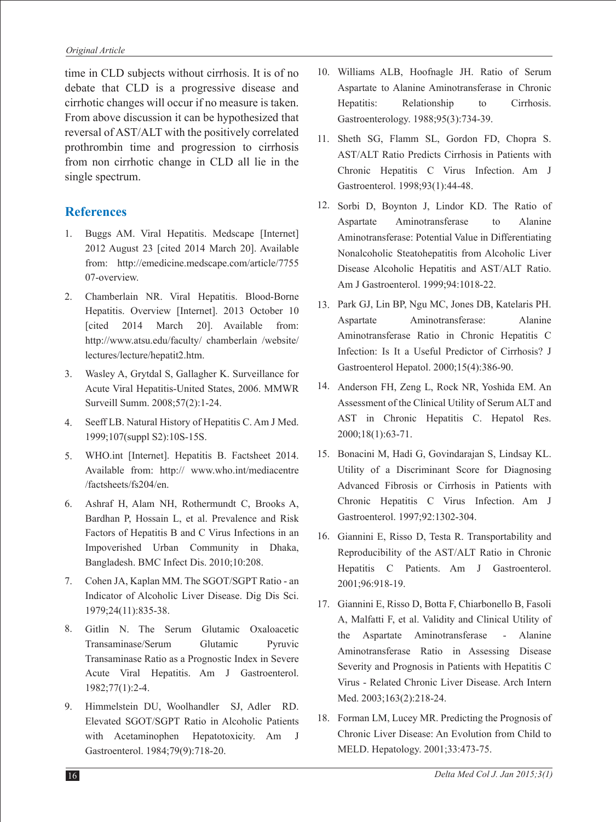time in CLD subjects without cirrhosis. It is of no debate that CLD is a progressive disease and cirrhotic changes will occur if no measure is taken. From above discussion it can be hypothesized that reversal of AST/ALT with the positively correlated prothrombin time and progression to cirrhosis from non cirrhotic change in CLD all lie in the single spectrum.

### **References**

- Buggs AM. Viral Hepatitis. Medscape [Internet] 2012 August 23 [cited 2014 March 20]. Available from: http://emedicine.medscape.com/article/7755 07-overview. 1.
- Chamberlain NR. Viral Hepatitis. Blood-Borne Hepatitis. Overview [Internet]. 2013 October 10 [cited 2014 March 20]. Available from: http://www.atsu.edu/faculty/ chamberlain /website/ lectures/lecture/hepatit2.htm. 2.
- Wasley A, Grytdal S, Gallagher K. Surveillance for 3. Acute Viral Hepatitis-United States, 2006. MMWR Surveill Summ. 2008;57(2):1-24.
- Seeff LB. Natural History of Hepatitis C. Am J Med. 1999;107(suppl S2):10S-15S. 4.
- WHO.int [Internet]. Hepatitis B. Factsheet 2014. Available from: http:// www.who.int/mediacentre /factsheets/fs204/en. 5.
- Ashraf H, Alam NH, Rothermundt C, Brooks A, Bardhan P, Hossain L, et al. Prevalence and Risk Factors of Hepatitis B and C Virus Infections in an Impoverished Urban Community in Dhaka, Bangladesh. BMC Infect Dis. 2010;10:208. 6.
- Cohen JA, Kaplan MM. The SGOT/SGPT Ratio an Indicator of Alcoholic Liver Disease. Dig Dis Sci. 1979;24(11):835-38. 7.
- 8. Gitlin N. The Serum Glutamic Oxaloacetic Transaminase/Serum Glutamic Pyruvic Transaminase Ratio as a Prognostic Index in Severe Acute Viral Hepatitis. Am J Gastroenterol. 1982;77(1):2-4.
- 9. Himmelstein DU, Woolhandler SJ, Adler RD. Elevated SGOT/SGPT Ratio in Alcoholic Patients with Acetaminophen Hepatotoxicity. Am J Gastroenterol. 1984;79(9):718-20.
- Williams ALB, Hoofnagle JH. Ratio of Serum 10. Aspartate to Alanine Aminotransferase in Chronic Hepatitis: Relationship to Cirrhosis. Gastroenterology. 1988;95(3):734-39.
- 11. Sheth SG, Flamm SL, Gordon FD, Chopra S. AST/ALT Ratio Predicts Cirrhosis in Patients with Chronic Hepatitis C Virus Infection. Am J Gastroenterol. 1998;93(1):44-48.
- 12. Sorbi D, Boynton J, Lindor KD. The Ratio of Aspartate Aminotransferase to Alanine Aminotransferase: Potential Value in Differentiating Nonalcoholic Steatohepatitis from Alcoholic Liver Disease Alcoholic Hepatitis and AST/ALT Ratio. Am J Gastroenterol. 1999;94:1018-22.
- 13. Park GJ, Lin BP, Ngu MC, Jones DB, Katelaris PH. Aspartate Aminotransferase: Alanine Aminotransferase Ratio in Chronic Hepatitis C Infection: Is It a Useful Predictor of Cirrhosis? J Gastroenterol Hepatol. 2000;15(4):386-90.
- 14. Anderson FH, Zeng L, Rock NR, Yoshida EM. An Assessment of the Clinical Utility of Serum ALT and AST in Chronic Hepatitis C. Hepatol Res. 2000;18(1):63-71.
- 15. Bonacini M, Hadi G, Govindarajan S, Lindsay KL. Utility of a Discriminant Score for Diagnosing Advanced Fibrosis or Cirrhosis in Patients with Chronic Hepatitis C Virus Infection. Am J Gastroenterol. 1997;92:1302-304.
- 16. Giannini E, Risso D, Testa R. Transportability and Reproducibility of the AST/ALT Ratio in Chronic Hepatitis C Patients. Am J Gastroenterol. 2001;96:918-19.
- Giannini E, Risso D, Botta F, Chiarbonello B, Fasoli 17. A, Malfatti F, et al. Validity and Clinical Utility of the Aspartate Aminotransferase - Alanine Aminotransferase Ratio in Assessing Disease Severity and Prognosis in Patients with Hepatitis C Virus - Related Chronic Liver Disease. Arch Intern Med. 2003;163(2):218-24.
- 18. Forman LM, Lucey MR. Predicting the Prognosis of Chronic Liver Disease: An Evolution from Child to MELD. Hepatology. 2001;33:473-75.